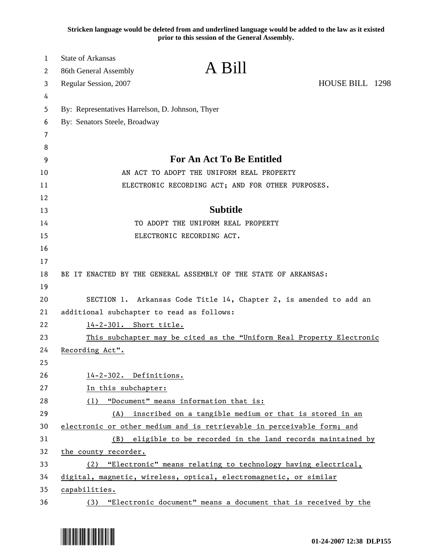**Stricken language would be deleted from and underlined language would be added to the law as it existed prior to this session of the General Assembly.**

| <b>State of Arkansas</b>                                              |                                                                                                                                                                                                                                                                                                                                                                                                                                                                                                                                                           |
|-----------------------------------------------------------------------|-----------------------------------------------------------------------------------------------------------------------------------------------------------------------------------------------------------------------------------------------------------------------------------------------------------------------------------------------------------------------------------------------------------------------------------------------------------------------------------------------------------------------------------------------------------|
|                                                                       |                                                                                                                                                                                                                                                                                                                                                                                                                                                                                                                                                           |
|                                                                       | HOUSE BILL 1298                                                                                                                                                                                                                                                                                                                                                                                                                                                                                                                                           |
|                                                                       |                                                                                                                                                                                                                                                                                                                                                                                                                                                                                                                                                           |
|                                                                       |                                                                                                                                                                                                                                                                                                                                                                                                                                                                                                                                                           |
|                                                                       |                                                                                                                                                                                                                                                                                                                                                                                                                                                                                                                                                           |
|                                                                       |                                                                                                                                                                                                                                                                                                                                                                                                                                                                                                                                                           |
| <b>For An Act To Be Entitled</b>                                      |                                                                                                                                                                                                                                                                                                                                                                                                                                                                                                                                                           |
| AN ACT TO ADOPT THE UNIFORM REAL PROPERTY                             |                                                                                                                                                                                                                                                                                                                                                                                                                                                                                                                                                           |
| ELECTRONIC RECORDING ACT; AND FOR OTHER PURPOSES.                     |                                                                                                                                                                                                                                                                                                                                                                                                                                                                                                                                                           |
|                                                                       |                                                                                                                                                                                                                                                                                                                                                                                                                                                                                                                                                           |
| <b>Subtitle</b>                                                       |                                                                                                                                                                                                                                                                                                                                                                                                                                                                                                                                                           |
| TO ADOPT THE UNIFORM REAL PROPERTY                                    |                                                                                                                                                                                                                                                                                                                                                                                                                                                                                                                                                           |
| ELECTRONIC RECORDING ACT.                                             |                                                                                                                                                                                                                                                                                                                                                                                                                                                                                                                                                           |
|                                                                       |                                                                                                                                                                                                                                                                                                                                                                                                                                                                                                                                                           |
|                                                                       |                                                                                                                                                                                                                                                                                                                                                                                                                                                                                                                                                           |
| BE IT ENACTED BY THE GENERAL ASSEMBLY OF THE STATE OF ARKANSAS:       |                                                                                                                                                                                                                                                                                                                                                                                                                                                                                                                                                           |
|                                                                       |                                                                                                                                                                                                                                                                                                                                                                                                                                                                                                                                                           |
| SECTION 1. Arkansas Code Title 14, Chapter 2, is amended to add an    |                                                                                                                                                                                                                                                                                                                                                                                                                                                                                                                                                           |
| additional subchapter to read as follows:                             |                                                                                                                                                                                                                                                                                                                                                                                                                                                                                                                                                           |
| 14-2-301. Short title.                                                |                                                                                                                                                                                                                                                                                                                                                                                                                                                                                                                                                           |
| This subchapter may be cited as the "Uniform Real Property Electronic |                                                                                                                                                                                                                                                                                                                                                                                                                                                                                                                                                           |
| Recording Act".                                                       |                                                                                                                                                                                                                                                                                                                                                                                                                                                                                                                                                           |
|                                                                       |                                                                                                                                                                                                                                                                                                                                                                                                                                                                                                                                                           |
|                                                                       |                                                                                                                                                                                                                                                                                                                                                                                                                                                                                                                                                           |
|                                                                       |                                                                                                                                                                                                                                                                                                                                                                                                                                                                                                                                                           |
|                                                                       |                                                                                                                                                                                                                                                                                                                                                                                                                                                                                                                                                           |
|                                                                       |                                                                                                                                                                                                                                                                                                                                                                                                                                                                                                                                                           |
|                                                                       |                                                                                                                                                                                                                                                                                                                                                                                                                                                                                                                                                           |
|                                                                       |                                                                                                                                                                                                                                                                                                                                                                                                                                                                                                                                                           |
|                                                                       |                                                                                                                                                                                                                                                                                                                                                                                                                                                                                                                                                           |
| digital, magnetic, wireless, optical, electromagnetic, or similar     |                                                                                                                                                                                                                                                                                                                                                                                                                                                                                                                                                           |
|                                                                       |                                                                                                                                                                                                                                                                                                                                                                                                                                                                                                                                                           |
| capabilities.                                                         |                                                                                                                                                                                                                                                                                                                                                                                                                                                                                                                                                           |
|                                                                       | A Bill<br>86th General Assembly<br>Regular Session, 2007<br>By: Representatives Harrelson, D. Johnson, Thyer<br>By: Senators Steele, Broadway<br>14-2-302. Definitions.<br>In this subchapter:<br>"Document" means information that is:<br>(1)<br>inscribed on a tangible medium or that is stored in an<br>(A)<br>electronic or other medium and is retrievable in perceivable form; and<br>eligible to be recorded in the land records maintained by<br>(B)<br>the county recorder.<br>(2) "Electronic" means relating to technology having electrical, |

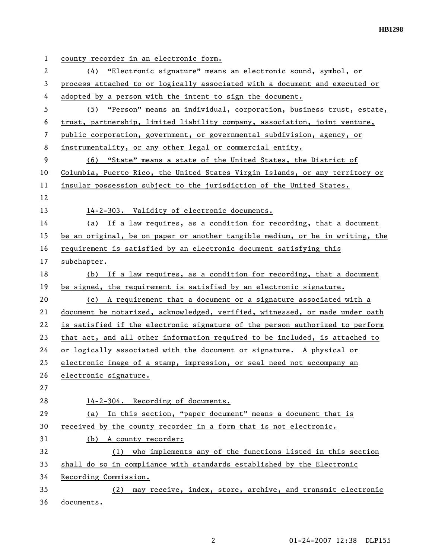| 1  | county recorder in an electronic form.                                        |
|----|-------------------------------------------------------------------------------|
| 2  | (4) "Electronic signature" means an electronic sound, symbol, or              |
| 3  | process attached to or logically associated with a document and executed or   |
| 4  | adopted by a person with the intent to sign the document.                     |
| 5  | (5) "Person" means an individual, corporation, business trust, estate,        |
| 6  | trust, partnership, limited liability company, association, joint venture,    |
| 7  | public corporation, government, or governmental subdivision, agency, or       |
| 8  | instrumentality, or any other legal or commercial entity.                     |
| 9  | (6) "State" means a state of the United States, the District of               |
| 10 | Columbia, Puerto Rico, the United States Virgin Islands, or any territory or  |
| 11 | insular possession subject to the jurisdiction of the United States.          |
| 12 |                                                                               |
| 13 | 14-2-303. Validity of electronic documents.                                   |
| 14 | (a) If a law requires, as a condition for recording, that a document          |
| 15 | be an original, be on paper or another tangible medium, or be in writing, the |
| 16 | requirement is satisfied by an electronic document satisfying this            |
| 17 | subchapter.                                                                   |
| 18 | (b) If a law requires, as a condition for recording, that a document          |
| 19 | be signed, the requirement is satisfied by an electronic signature.           |
| 20 | (c) A requirement that a document or a signature associated with a            |
| 21 | document be notarized, acknowledged, verified, witnessed, or made under oath  |
| 22 | is satisfied if the electronic signature of the person authorized to perform  |
| 23 | that act, and all other information required to be included, is attached to   |
| 24 | or logically associated with the document or signature. A physical or         |
| 25 | electronic image of a stamp, impression, or seal need not accompany an        |
| 26 | electronic signature.                                                         |
| 27 |                                                                               |
| 28 | 14-2-304. Recording of documents.                                             |
| 29 | In this section, "paper document" means a document that is<br>(a)             |
| 30 | received by the county recorder in a form that is not electronic.             |
| 31 | (b) A county recorder:                                                        |
| 32 | who implements any of the functions listed in this section<br>(1)             |
| 33 | shall do so in compliance with standards established by the Electronic        |
| 34 | Recording Commission.                                                         |
| 35 | may receive, index, store, archive, and transmit electronic<br>(2)            |
| 36 | documents.                                                                    |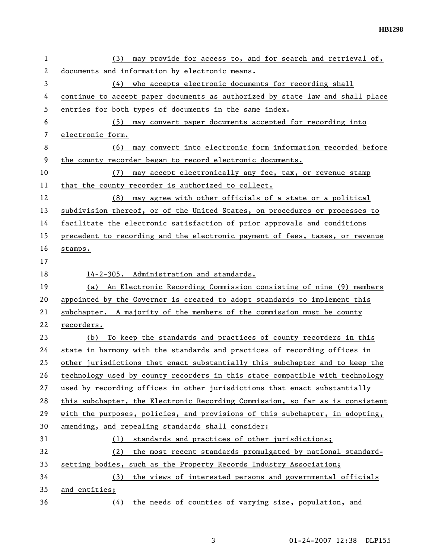**HB1298** 

| 1        | may provide for access to, and for search and retrieval of,<br>(3)            |
|----------|-------------------------------------------------------------------------------|
| 2        | documents and information by electronic means.                                |
| 3        | (4) who accepts electronic documents for recording shall                      |
| 4        | continue to accept paper documents as authorized by state law and shall place |
| 5        | entries for both types of documents in the same index.                        |
| 6        | (5) may convert paper documents accepted for recording into                   |
| 7        | electronic form.                                                              |
| 8        | may convert into electronic form information recorded before<br>(6)           |
| 9        | the county recorder began to record electronic documents.                     |
| 10       | may accept electronically any fee, tax, or revenue stamp<br>(7)               |
| 11       | that the county recorder is authorized to collect.                            |
| 12       | (8) may agree with other officials of a state or a political                  |
| 13       | subdivision thereof, or of the United States, on procedures or processes to   |
| 14       | facilitate the electronic satisfaction of prior approvals and conditions      |
| 15       | precedent to recording and the electronic payment of fees, taxes, or revenue  |
| 16       | stamps.                                                                       |
| 17       |                                                                               |
| 18       | 14-2-305. Administration and standards.                                       |
| 19       | An Electronic Recording Commission consisting of nine (9) members<br>(a)      |
| 20       | appointed by the Governor is created to adopt standards to implement this     |
|          | subchapter. A majority of the members of the commission must be county        |
| 21       |                                                                               |
| 22       | recorders.                                                                    |
| 23       | To keep the standards and practices of county recorders in this<br>(b)        |
| 24       | state in harmony with the standards and practices of recording offices in     |
| 25       | other jurisdictions that enact substantially this subchapter and to keep the  |
| 26       | technology used by county recorders in this state compatible with technology  |
| 27       | used by recording offices in other jurisdictions that enact substantially     |
| 28       | this subchapter, the Electronic Recording Commission, so far as is consistent |
| 29       | with the purposes, policies, and provisions of this subchapter, in adopting,  |
|          | amending, and repealing standards shall consider:                             |
| 30<br>31 | standards and practices of other jurisdictions;<br>(1)                        |
| 32       | the most recent standards promulgated by national standard-<br>(2)            |
| 33<br>34 | setting bodies, such as the Property Records Industry Association;<br>(3)     |
| 35       | the views of interested persons and governmental officials<br>and entities;   |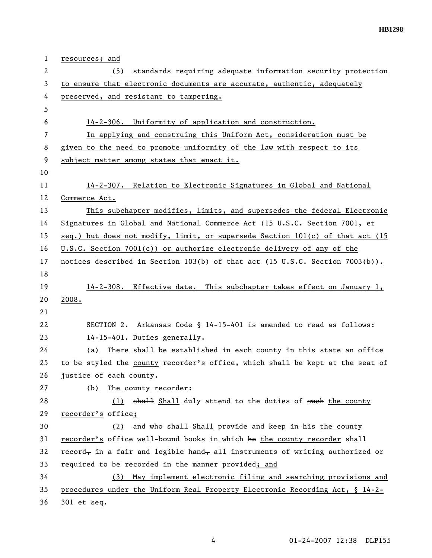| $\mathbf{1}$   | <u>resources; and</u>                                                         |
|----------------|-------------------------------------------------------------------------------|
| $\overline{2}$ | standards requiring adequate information security protection<br>(5)           |
| 3              | to ensure that electronic documents are accurate, authentic, adequately       |
| 4              | preserved, and resistant to tampering.                                        |
| 5              |                                                                               |
| 6              | 14-2-306. Uniformity of application and construction.                         |
| 7              | In applying and construing this Uniform Act, consideration must be            |
| 8              | given to the need to promote uniformity of the law with respect to its        |
| 9              | subject matter among states that enact it.                                    |
| 10             |                                                                               |
| 11             | 14-2-307. Relation to Electronic Signatures in Global and National            |
| 12             | Commerce Act.                                                                 |
| 13             | This subchapter modifies, limits, and supersedes the federal Electronic       |
| 14             | Signatures in Global and National Commerce Act (15 U.S.C. Section 7001, et    |
| 15             | seq.) but does not modify, limit, or supersede Section 101(c) of that act (15 |
| 16             | U.S.C. Section 7001(c)) or authorize electronic delivery of any of the        |
| 17             | notices described in Section 103(b) of that act (15 U.S.C. Section 7003(b)).  |
| 18             |                                                                               |
| 19             | 14-2-308. Effective date. This subchapter takes effect on January 1,          |
| 20             | 2008.                                                                         |
| 21             |                                                                               |
| 22             | SECTION 2. Arkansas Code § 14-15-401 is amended to read as follows:           |
| 23             | 14-15-401. Duties generally.                                                  |
| 24             | There shall be established in each county in this state an office<br>(a)      |
| 25             | to be styled the county recorder's office, which shall be kept at the seat of |
| 26             | justice of each county.                                                       |
| 27             | The county recorder:<br>(b)                                                   |
| 28             | (1) shall Shall duly attend to the duties of such the county                  |
| 29             | recorder's office;                                                            |
| 30             | (2) and who shall Shall provide and keep in his the county                    |
| 31             | recorder's office well-bound books in which he the county recorder shall      |
| 32             | record, in a fair and legible hand, all instruments of writing authorized or  |
| 33             | required to be recorded in the manner provided; and                           |
| 34             | May implement electronic filing and searching provisions and<br>(3)           |
| 35             | procedures under the Uniform Real Property Electronic Recording Act, § 14-2-  |
| 36             | 301 et seq.                                                                   |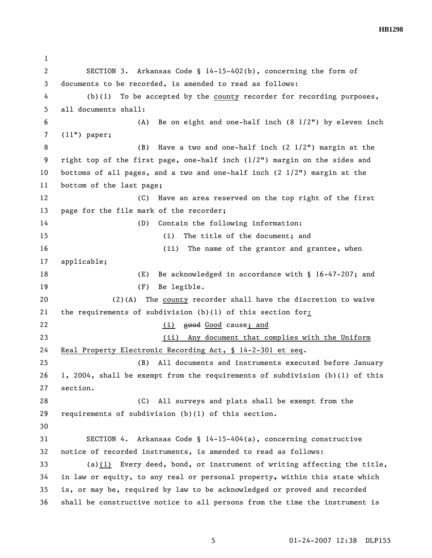2 SECTION 3. Arkansas Code § 14-15-402(b), concerning the form of 3 documents to be recorded, is amended to read as follows: 4 (b)(1) To be accepted by the county recorder for recording purposes, 5 all documents shall: 6 (A) Be on eight and one-half inch (8 1/2") by eleven inch 7 (11") paper; 8 (B) Have a two and one-half inch (2 1/2") margin at the 9 right top of the first page, one-half inch (1/2") margin on the sides and 10 bottoms of all pages, and a two and one-half inch (2 1/2") margin at the 11 bottom of the last page; 12 (C) Have an area reserved on the top right of the first 13 page for the file mark of the recorder; 14 (D) Contain the following information: 15 (i) The title of the document; and 16 (ii) The name of the grantor and grantee, when 17 applicable; 18 (E) Be acknowledged in accordance with § 16-47-207; and 19 (F) Be legible. 20 (2)(A) The county recorder shall have the discretion to waive 21 the requirements of subdivision (b)(1) of this section for: 22 (i) good Good cause; and 23 (ii) Any document that complies with the Uniform 24 Real Property Electronic Recording Act, § 14-2-301 et seq. 25 (B) All documents and instruments executed before January 26 1, 2004, shall be exempt from the requirements of subdivision (b)(1) of this 27 section. 28 (C) All surveys and plats shall be exempt from the 29 requirements of subdivision (b)(1) of this section. 30 31 SECTION 4. Arkansas Code § 14-15-404(a), concerning constructive 32 notice of recorded instruments, is amended to read as follows: 33 (a)(1) Every deed, bond, or instrument of writing affecting the title,  $34$  in law or equity, to any real or personal property, within this state which 35 is, or may be, required by law to be acknowledged or proved and recorded 36 shall be constructive notice to all persons from the time the instrument is

1